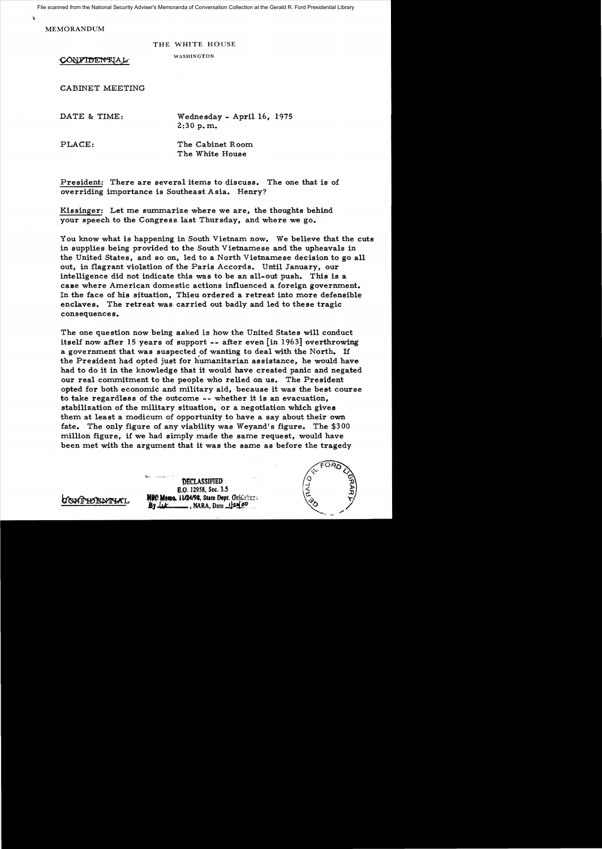File scanned from the National Security Adviser's Memoranda of Conversation Collection at the Gerald R. Ford Presidential Library

MEMORANDUM

 $\mathbf{r}$ 

THE WHITE HOUSE

CONFIDENTIAL

WASHINGTON

CABINET MEETING

DATE & TIME: Wednesday - April 16, 1975 2:30 p. m.

PLACE: The Cabinet Room The White House

President: There are several items to discuss. The one that is of overriding importance is Southeast A sia. Henry?

Kissinger: Let me summarize where we are, the thoughts behind your speech to the Congress last Thursday, and where we go.

You know what is happening in South Vietnam now. We believe that the cuts in supplies being provided to the South Vietnamese and the upheavals in the United States, and so on, led to a North Vietnamese decision to go all out, in flagrant violation of the Paris Accords. Until January, our intelligence did not indicate this was to be an all-out push. This is a case where American domestic actions influenced a foreign government. In the face of his situation, Thieu ordered a retreat into more defensible enclaves. The retreat was carried out badly and led to these tragic consequences.

The one question now being asked is how the United States will conduct itself now after 15 years of support -- after even [in 1963] overthrowing a government that was suspected of wanting to deal with the North. If the President had opted just for humanitarian assistance, he would have had to do it in the knowledge that it would have created panic and negated our real commitment to the people who relied on us. The President opted for both economic and military aid, because it was the best course to take regardless of the outcome -- whether it is an evacuation, stabilization of the military situation, or a negotiation which gives them at least a modicum of opportunity to have a say about their own fate. The only figure of any viability was Weyand's figure. The \$300 million figure, if we had simply made the same request, would have been met with the argument that it was the same as before the tragedy

**DECLASSIFIED** B.a. 12958, Sec. 3.5 **NE LE EL MARE ME ME AND AND STATE Dept. Guidelines By** <u>Let</u> \_\_\_\_\_, NARA, Date 12n(00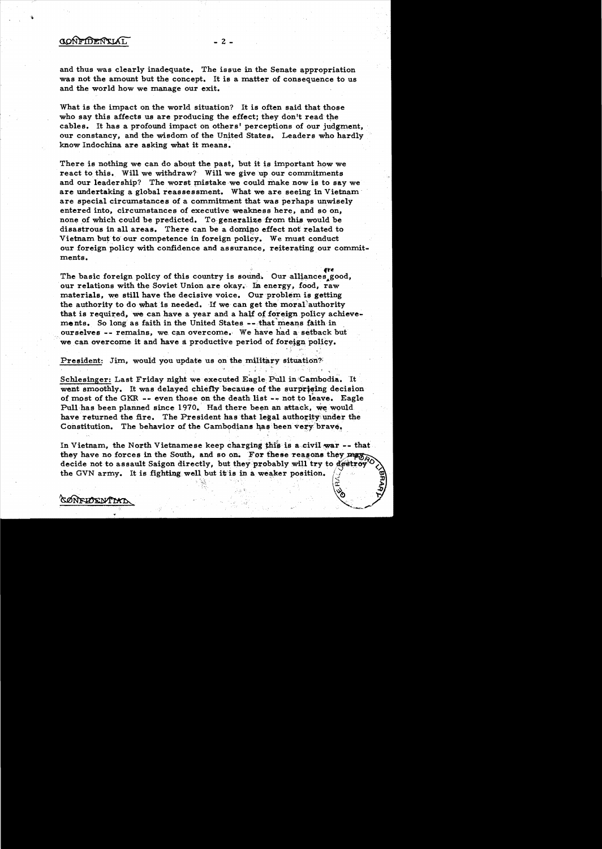## CONFIDENTIAL

SØNFIDENTIAT

and thus was clearly inadequate. The issue in the Senate appropriation was not the amount but the concept. It is a matter of consequence to us and the world how we manage our exit.

 $- 2 -$ 

What is the impact on the world situation? It is often said that those who say this affects us are producing the effect; they don't read the cables. It has a profound impact on others' perceptions of our judgment, our constancy, and the wisdom of the United States. Leaders who hardly know Indochina are asking what it means.

There is nothing we can do about the past, but it is important how we react to this. Will we withdraw? Will we give up our commitments and our leadership? The worst mistake we could make now is to say we are undertaking a global reassessment. What we are seeing in Vietnam' are special circumstances of a commitment that was perhaps unwisely entered into, circumstances of executive weakness here, and so on, none of which could be predicted. To generalize from this would be disastrous in all areas. There can be a domino effect not related to Vietnam but to our competence in foreign policy. We must conduct our foreign policy with confidence and assurance, reiterating our commitments. our foreign policy with confidence and assurance, reiterating our comments.<br>
The basic foreign policy of this country is sound. Our alliances good,

our relations with the Soviet Union are okay. In energy, food, raw materials, we still have the decisive voice. Our problem is getting the authority to do what is needed. If we can get the moral authority that is required, we can have a year and a half of foreign policy achievements. So long as faith in the United States  $--$  that means faith in ourselves -- remains, we can overcome. We have had a setback but we can overcome it and have a productive period of foreign policy.

President: Jim, would you update us on the military situation?

Schlesinger: Last Friday night we executed Eagle Pull in Cambodia. It went smoothly. It was delayed chiefly because of the surprising decision of most of the GKR -- even those on the death list -- not to leave. Eagle Pull has been planned since 1970. Had there been an attack, we would have returned the fire. The President has that legal authority under the Constitution. The behavior of the Cambodians has been very brave.

In Vietnam, the North Vietnamese keep charging this is a civil war -- that they have no forces in the South, and so on. For these reasons they  $\frac{1}{P(\mathcal{A})}$ decide not to assault Saigon directly, but they probably will try to destroy the GVN army. It is fighting well but it is in a weaker position. <sup>~</sup>*..:t/* 

 $\square$ 

 $\frac{1}{2}$ . .:.~,..

 $\circ$  .  $\forall$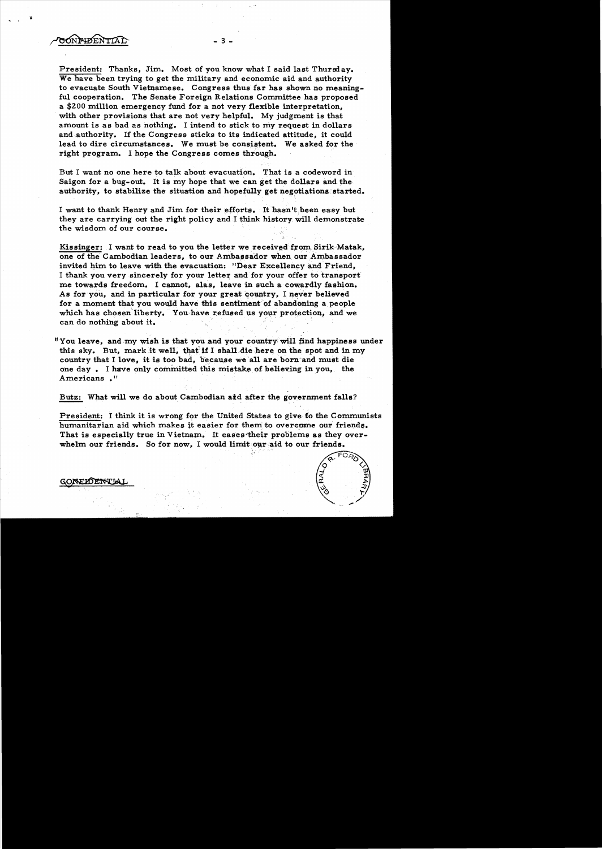CONFIDENTIAL

President: Thanks, Jim. Most of you know what I said last Thursday. We have been trying to get the military and economic aid and authority to evacuate South Vietnamese. Congress thus far has shown no meaningful cooperation. The Senate Foreign Relations Committee has proposed a \$200 million emergency fund for a not very flexible interpretation, with other provisions that are not very helpful. My judgment is that amount is as bad as nothing. I intend to stick to my request in dollars and.authority. If the Congress sticks to its indicated attitude, it could lead to dire circumstances. We must be consistent. We asked for the right program. I hope the Congress comes through.

 $-3 -$ 

But I want no one here to talk about evacuation. That is a codeword in Saigon for a bug-out. It is my hope that we can get the dollars and the authority, to stabilize the situation and hopefully get negotiations started.

I want to thank Henry and Jim for their efforts. It hasn't been easy but they are carrying out the right policy and I think history will demonstrate the wisdom of our course.

Kissinger: I want to read to you the letter we received from Sirik Matak, one of the Cambodian leaders, to our Ambassador when our Ambassador invited him to leave with the evacuation: "Dear Excellency and Friend. I thank you very sincerely for your letter and for your offer to transport me towards freedom. I cannot, alas, leave in such a cowardly fashion. As for you, and in particular for your great country, I never believed for a moment that you would have this sentiment of abandoning a people which has chosen liberty. You have refused us your protection, and we Kissinger: I want to read to you the letter we receive<br>one of the Cambodian leaders, to our Ambassador wh<br>invited him to leave with the evacuation: "Dear Exce<br>I thank you very sincerely for your letter and for you<br>me towar

"You leave, and my wish is that you and your country will find happiness under this sky. But, mark it well, that if I shall die here on the spot and in my country that I love, it is too bad, because we all are born and must die one day. I have only committed this mistake of believing in you, the Americans .<sup>11</sup>

Butz: What will we do about Cambodian aid after the government falls?

President: I think it is wrong for the United States to give to the Communists humanitarian aid which makes it easier for them to overcome our friends. That is especially true in Vietnam. It eases their problems as they overwhelm our friends. So for now, I would limit our aid to our friends.

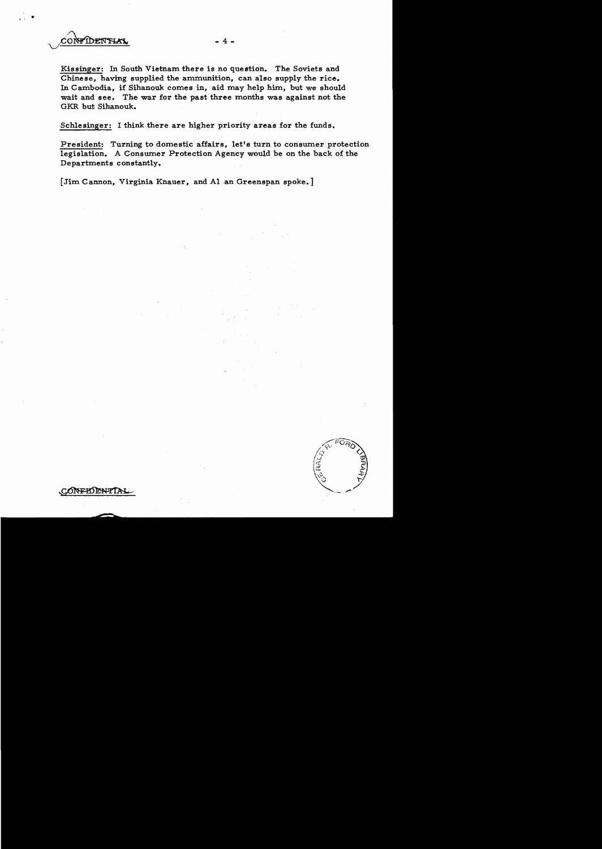

Kissinger: In South Vietnam there is no question. The Soviets and Chinese, having supplied the ammunition, can also supply the rice. In Cambodia, if Sihanouk comes in, aid may help him, but we should wait and see. The war for the past three months was against not the GKR but Sihanouk.

- 4 -

Schlesinger: I think there are higher priority areas for the funds.

President: Turning to domestic affairs, let's turn to consumer protection legislation. A Consumer Protection Agency would be on the back of the Departments constantly.

[Jim Cannon, Virginia Knauer, and Al an Greenspan spoke.]

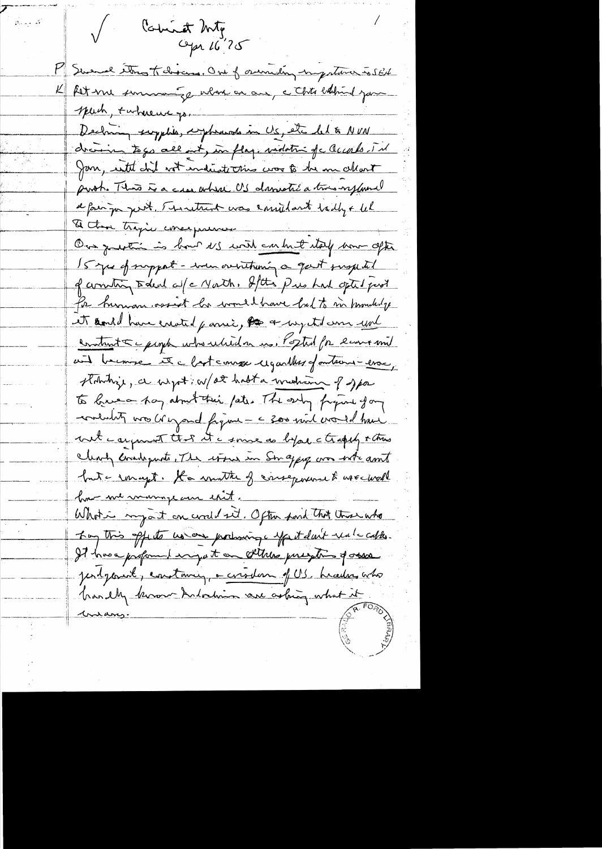Comet Mg  $C$ pr  $16^{77}$ M Swemal etros todoscons, One of overreding ingestima solid K fet me summer ge where are an controllating you speech, +where we go. Declaining scryptis, cryptocente in US, etc let to NVN drain to go all int, in flag, modatin fc Occarls. In Jan, with did wit indicate this was to be me chart push. This is a cree where US danietic a trois referred a fair pa pert. Thruthent was emiliart tadly + We & then tragic consequence One quetti is bout NS with content way how often 15 year of support - were overthing a gast jurge til of community todeal af a North, States Pus had opted pool for human osset he would have had to in mouted y it and have erroted paris, to a negetid am und construct & people who which a us, Popted for leave mil unt become et clastement regardes pontains-esse stobilize, a wight w/at habit a michain of spa to have a pay about their fate. The endy frigine for contaction was creyard figure - < 300 mil crowed have wit carpent that it is some as before a trappy others clearly considerate, The wines in Son approp over inte ant but a remayt. Ha wonthe of consequence & use woll how we warmpare en thit. Whote my at on world set, Often point that these who They this offerts us are producing effect don't real cables. It have profound engate on sthese preghing posses Jerdyament, constancy, a circular of US, headers acho brandly known Indoction are asking what it <u>marang.</u>

 $\beta$  , and  $\beta$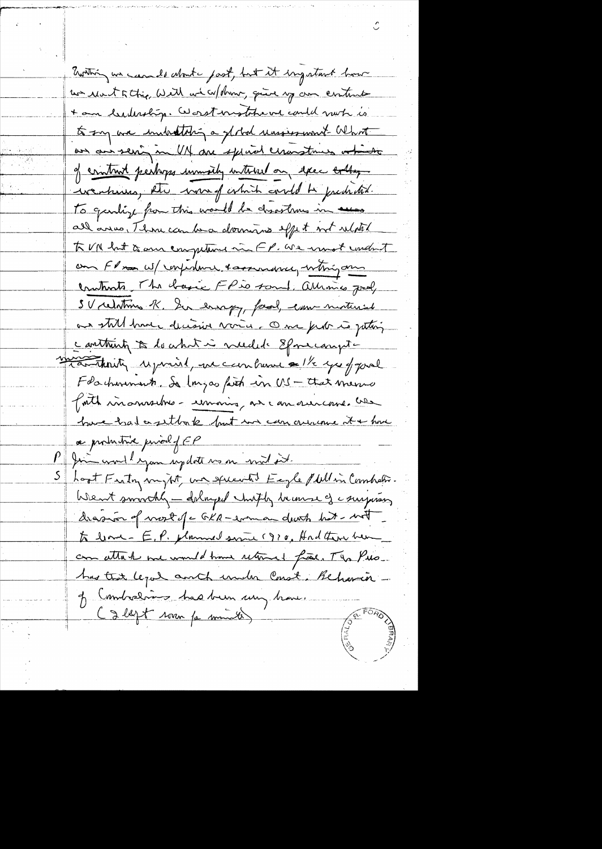Ewithing we can do about past, but it ingaturt how un rent titric, Will we w/ drive, quite your content + am leaderstry. Worst mother we could not is to say are inducting a global reassessment What an an seri in UN are special ceranstrues ations of contract perhaps immeding interest on excel collage weaking the warf which could be predided. To gentif for this world be disortions in assess all anno, Thomecan be a dominant effet met related To VN hat is anne empeting in FP. We most undent om Flm W/ response tassurance, whigon comtants, The basic FP is sont, alliances Joel, SV relations K. In errapy, faod, come material as still have decisive varia. One pide is juting containty to do what is needed Epomeonytmonth right paint and can buse & 1/2 yes of pool Foachmonnent Se Ingas faith in US - that memo faith in answer - unaing as can surcome use have had a setto to but in can our one to have ce productive prival of EP fine word eyan update us on mil it. hoot Fasty mytit un speentit Eegle Mellin Combation Went smoothly - dalayed chifty because of comparing drasion of work of c GKR-even an death but - with to bone = E, P. planned service (970, Had there have can attach me would have returned frais. The Pus has that legal and under Coast, Behaving-J Combreloin has been un brave. C g legt rom pe minutes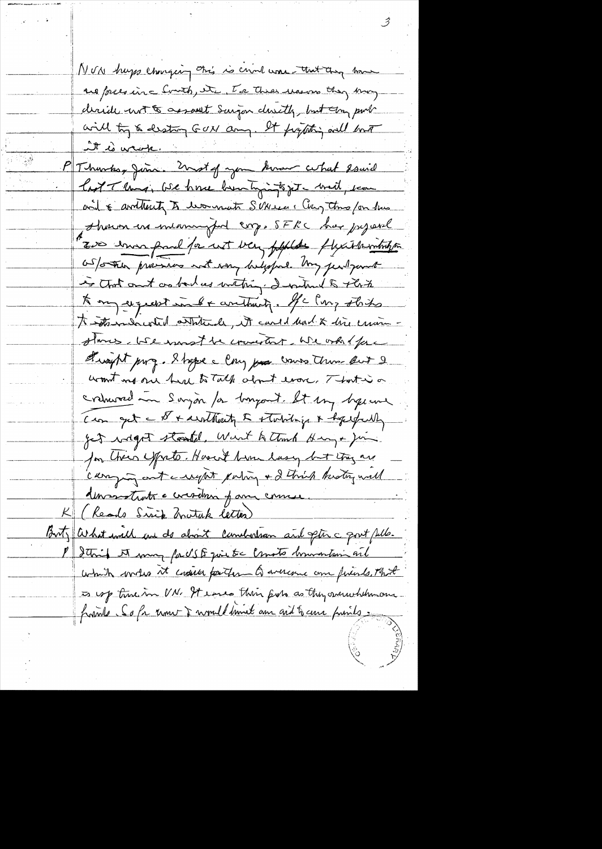NUN hupps changing this is crime was that any home us pressing Court, it, To the user they may deride not to assault Surgen devity, but any put will try & destiny GON any. It fighting will bout it le vrop. Thurks, Juin. Unst of you know what Isaid last Though We have been tyingto get - with, seen and 6 avittenty to woman SUNeses Cary three for has shown in meaningful cop. SFRC has poperal Two enoughed for not very pepplate fluxible intribution as/orten provisions not voing beliefed. My just part is that out as bad us withing I without to This Kong exquest int & anthury. He long this To intermedicated antitivale, it candid and & dire creation stames, will wonst be convertent. We only face theoright purg. I hape a long poor cours them but 2 womt me one had to Talk about ever, That is a cremored in Sayon for bangant. It my hyperne Com get a & + devethant & stabiling & hopepally get wight started, Went to think Hang + Jim for Cheir yorto. Hoved him lasy but they are camping out a regist pating + 2 think knoting will demanstrats a considerar of anne course. K (Reads Sirip Mutuk letter) Buty What will are do about combition and ptinc port fulle. P Storid A man parts & qui tre consto hommontain and which wrotes it could partir a averence on friends, That is up time in UN. It eases this fish as they succeed themony frank Sofa une Dumillimal am and have prints.